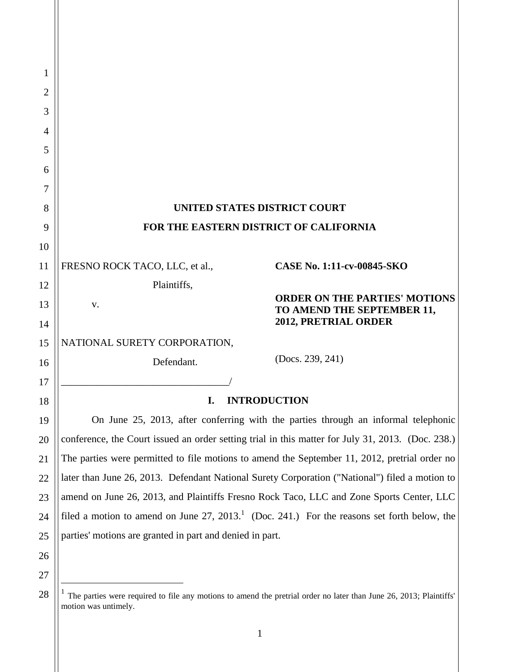| <b>UNITED STATES DISTRICT COURT</b>                                                               |  |  |
|---------------------------------------------------------------------------------------------------|--|--|
| FOR THE EASTERN DISTRICT OF CALIFORNIA                                                            |  |  |
|                                                                                                   |  |  |
| <b>CASE No. 1:11-cv-00845-SKO</b><br>FRESNO ROCK TACO, LLC, et al.,                               |  |  |
| Plaintiffs,                                                                                       |  |  |
| <b>ORDER ON THE PARTIES' MOTIONS</b><br>v.<br>TO AMEND THE SEPTEMBER 11,                          |  |  |
| 2012, PRETRIAL ORDER                                                                              |  |  |
| NATIONAL SURETY CORPORATION,                                                                      |  |  |
| (Docs. 239, 241)<br>Defendant.                                                                    |  |  |
|                                                                                                   |  |  |
| <b>INTRODUCTION</b><br>I.                                                                         |  |  |
| On June 25, 2013, after conferring with the parties through an informal telephonic                |  |  |
| conference, the Court issued an order setting trial in this matter for July 31, 2013. (Doc. 238.) |  |  |
| The parties were permitted to file motions to amend the September 11, 2012, pretrial order no     |  |  |
| later than June 26, 2013. Defendant National Surety Corporation ("National") filed a motion to    |  |  |
| amend on June 26, 2013, and Plaintiffs Fresno Rock Taco, LLC and Zone Sports Center, LLC          |  |  |
| filed a motion to amend on June $27, 2013$ . (Doc. 241.) For the reasons set forth below, the     |  |  |
| parties' motions are granted in part and denied in part.                                          |  |  |
|                                                                                                   |  |  |
|                                                                                                   |  |  |
|                                                                                                   |  |  |

<sup>&</sup>lt;sup>1</sup> The parties were required to file any motions to amend the pretrial order no later than June 26, 2013; Plaintiffs' motion was untimely.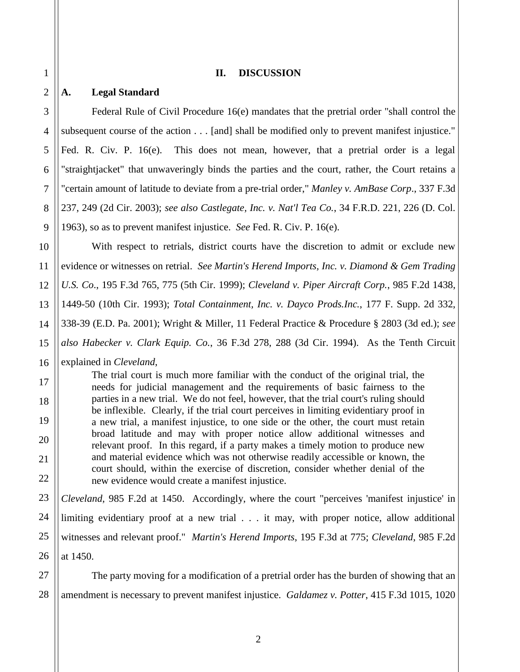### **II. DISCUSSION**

### **A. Legal Standard**

Federal Rule of Civil Procedure 16(e) mandates that the pretrial order "shall control the subsequent course of the action . . . [and] shall be modified only to prevent manifest injustice." Fed. R. Civ. P. 16(e). This does not mean, however, that a pretrial order is a legal "straightjacket" that unwaveringly binds the parties and the court, rather, the Court retains a "certain amount of latitude to deviate from a pre-trial order," *Manley v. AmBase Corp*., 337 F.3d 237, 249 (2d Cir. 2003); *see also Castlegate, Inc. v. Nat'l Tea Co.*, 34 F.R.D. 221, 226 (D. Col. 1963), so as to prevent manifest injustice. *See* Fed. R. Civ. P. 16(e).

With respect to retrials, district courts have the discretion to admit or exclude new evidence or witnesses on retrial. *See Martin's Herend Imports, Inc. v. Diamond & Gem Trading U.S. Co*., 195 F.3d 765, 775 (5th Cir. 1999); *Cleveland v. Piper Aircraft Corp.*, 985 F.2d 1438, 1449-50 (10th Cir. 1993); *Total Containment, Inc. v. Dayco Prods.Inc.*, 177 F. Supp. 2d 332, 338-39 (E.D. Pa. 2001); Wright & Miller, 11 Federal Practice & Procedure § 2803 (3d ed.); *see also Habecker v. Clark Equip. Co.*, 36 F.3d 278, 288 (3d Cir. 1994). As the Tenth Circuit explained in *Cleveland*,

The trial court is much more familiar with the conduct of the original trial, the needs for judicial management and the requirements of basic fairness to the parties in a new trial. We do not feel, however, that the trial court's ruling should be inflexible. Clearly, if the trial court perceives in limiting evidentiary proof in a new trial, a manifest injustice, to one side or the other, the court must retain broad latitude and may with proper notice allow additional witnesses and relevant proof. In this regard, if a party makes a timely motion to produce new and material evidence which was not otherwise readily accessible or known, the court should, within the exercise of discretion, consider whether denial of the new evidence would create a manifest injustice.

24 25 26 *Cleveland*, 985 F.2d at 1450. Accordingly, where the court "perceives 'manifest injustice' in limiting evidentiary proof at a new trial . . . it may, with proper notice, allow additional witnesses and relevant proof." *Martin's Herend Imports*, 195 F.3d at 775; *Cleveland*, 985 F.2d at 1450.

27 28 The party moving for a modification of a pretrial order has the burden of showing that an amendment is necessary to prevent manifest injustice. *Galdamez v. Potter*, 415 F.3d 1015, 1020

1

2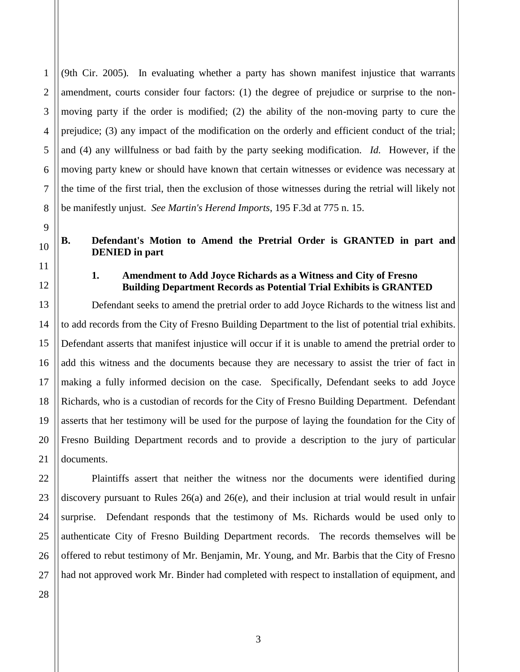(9th Cir. 2005)*.* In evaluating whether a party has shown manifest injustice that warrants amendment, courts consider four factors: (1) the degree of prejudice or surprise to the nonmoving party if the order is modified; (2) the ability of the non-moving party to cure the prejudice; (3) any impact of the modification on the orderly and efficient conduct of the trial; and (4) any willfulness or bad faith by the party seeking modification. *Id.* However, if the moving party knew or should have known that certain witnesses or evidence was necessary at the time of the first trial, then the exclusion of those witnesses during the retrial will likely not be manifestly unjust. *See Martin's Herend Imports*, 195 F.3d at 775 n. 15.

# **B. Defendant's Motion to Amend the Pretrial Order is GRANTED in part and DENIED in part**

# **1. Amendment to Add Joyce Richards as a Witness and City of Fresno Building Department Records as Potential Trial Exhibits is GRANTED**

Defendant seeks to amend the pretrial order to add Joyce Richards to the witness list and to add records from the City of Fresno Building Department to the list of potential trial exhibits. Defendant asserts that manifest injustice will occur if it is unable to amend the pretrial order to add this witness and the documents because they are necessary to assist the trier of fact in making a fully informed decision on the case. Specifically, Defendant seeks to add Joyce Richards, who is a custodian of records for the City of Fresno Building Department. Defendant asserts that her testimony will be used for the purpose of laying the foundation for the City of Fresno Building Department records and to provide a description to the jury of particular documents.

Plaintiffs assert that neither the witness nor the documents were identified during discovery pursuant to Rules 26(a) and 26(e), and their inclusion at trial would result in unfair surprise. Defendant responds that the testimony of Ms. Richards would be used only to authenticate City of Fresno Building Department records. The records themselves will be offered to rebut testimony of Mr. Benjamin, Mr. Young, and Mr. Barbis that the City of Fresno had not approved work Mr. Binder had completed with respect to installation of equipment, and

1

2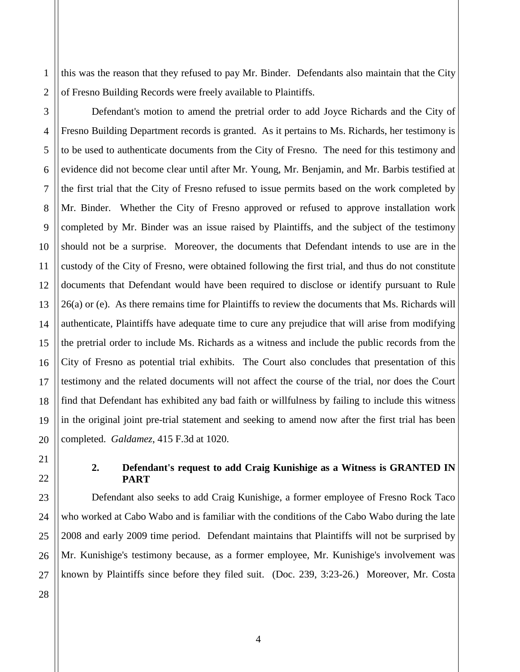this was the reason that they refused to pay Mr. Binder. Defendants also maintain that the City of Fresno Building Records were freely available to Plaintiffs.

1

2

3

4

5

6

7

8

9

10

11

12

13

14

15

16

17

18

19

20

21

22

23

24

25

26

Defendant's motion to amend the pretrial order to add Joyce Richards and the City of Fresno Building Department records is granted. As it pertains to Ms. Richards, her testimony is to be used to authenticate documents from the City of Fresno. The need for this testimony and evidence did not become clear until after Mr. Young, Mr. Benjamin, and Mr. Barbis testified at the first trial that the City of Fresno refused to issue permits based on the work completed by Mr. Binder. Whether the City of Fresno approved or refused to approve installation work completed by Mr. Binder was an issue raised by Plaintiffs, and the subject of the testimony should not be a surprise. Moreover, the documents that Defendant intends to use are in the custody of the City of Fresno, were obtained following the first trial, and thus do not constitute documents that Defendant would have been required to disclose or identify pursuant to Rule 26(a) or (e). As there remains time for Plaintiffs to review the documents that Ms. Richards will authenticate, Plaintiffs have adequate time to cure any prejudice that will arise from modifying the pretrial order to include Ms. Richards as a witness and include the public records from the City of Fresno as potential trial exhibits. The Court also concludes that presentation of this testimony and the related documents will not affect the course of the trial, nor does the Court find that Defendant has exhibited any bad faith or willfulness by failing to include this witness in the original joint pre-trial statement and seeking to amend now after the first trial has been completed. *Galdamez*, 415 F.3d at 1020.

# **2. Defendant's request to add Craig Kunishige as a Witness is GRANTED IN PART**

Defendant also seeks to add Craig Kunishige, a former employee of Fresno Rock Taco who worked at Cabo Wabo and is familiar with the conditions of the Cabo Wabo during the late 2008 and early 2009 time period. Defendant maintains that Plaintiffs will not be surprised by Mr. Kunishige's testimony because, as a former employee, Mr. Kunishige's involvement was known by Plaintiffs since before they filed suit. (Doc. 239, 3:23-26.) Moreover, Mr. Costa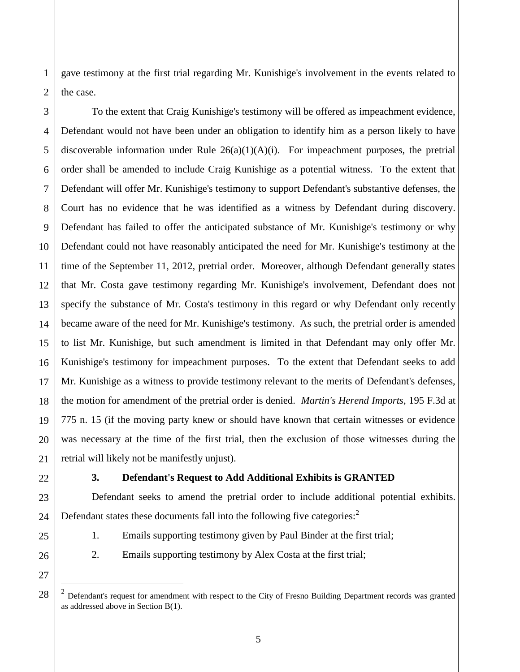gave testimony at the first trial regarding Mr. Kunishige's involvement in the events related to the case.

To the extent that Craig Kunishige's testimony will be offered as impeachment evidence, Defendant would not have been under an obligation to identify him as a person likely to have discoverable information under Rule  $26(a)(1)(A)(i)$ . For impeachment purposes, the pretrial order shall be amended to include Craig Kunishige as a potential witness. To the extent that Defendant will offer Mr. Kunishige's testimony to support Defendant's substantive defenses, the Court has no evidence that he was identified as a witness by Defendant during discovery. Defendant has failed to offer the anticipated substance of Mr. Kunishige's testimony or why Defendant could not have reasonably anticipated the need for Mr. Kunishige's testimony at the time of the September 11, 2012, pretrial order. Moreover, although Defendant generally states that Mr. Costa gave testimony regarding Mr. Kunishige's involvement, Defendant does not specify the substance of Mr. Costa's testimony in this regard or why Defendant only recently became aware of the need for Mr. Kunishige's testimony. As such, the pretrial order is amended to list Mr. Kunishige, but such amendment is limited in that Defendant may only offer Mr. Kunishige's testimony for impeachment purposes. To the extent that Defendant seeks to add Mr. Kunishige as a witness to provide testimony relevant to the merits of Defendant's defenses, the motion for amendment of the pretrial order is denied. *Martin's Herend Imports*, 195 F.3d at 775 n. 15 (if the moving party knew or should have known that certain witnesses or evidence was necessary at the time of the first trial, then the exclusion of those witnesses during the retrial will likely not be manifestly unjust).

 $\overline{a}$ 

# **3. Defendant's Request to Add Additional Exhibits is GRANTED**

Defendant seeks to amend the pretrial order to include additional potential exhibits. Defendant states these documents fall into the following five categories: $<sup>2</sup>$ </sup>

- 1. Emails supporting testimony given by Paul Binder at the first trial;
- 2. Emails supporting testimony by Alex Costa at the first trial;

<sup>2</sup> Defendant's request for amendment with respect to the City of Fresno Building Department records was granted as addressed above in Section B(1).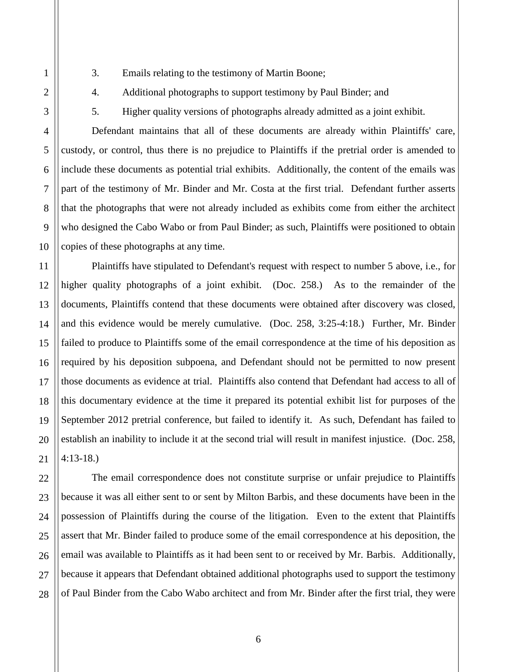3. Emails relating to the testimony of Martin Boone;

4. Additional photographs to support testimony by Paul Binder; and

1

5. Higher quality versions of photographs already admitted as a joint exhibit.

Defendant maintains that all of these documents are already within Plaintiffs' care, custody, or control, thus there is no prejudice to Plaintiffs if the pretrial order is amended to include these documents as potential trial exhibits. Additionally, the content of the emails was part of the testimony of Mr. Binder and Mr. Costa at the first trial. Defendant further asserts that the photographs that were not already included as exhibits come from either the architect who designed the Cabo Wabo or from Paul Binder; as such, Plaintiffs were positioned to obtain copies of these photographs at any time.

Plaintiffs have stipulated to Defendant's request with respect to number 5 above, i.e., for higher quality photographs of a joint exhibit. (Doc. 258.) As to the remainder of the documents, Plaintiffs contend that these documents were obtained after discovery was closed, and this evidence would be merely cumulative. (Doc. 258, 3:25-4:18.) Further, Mr. Binder failed to produce to Plaintiffs some of the email correspondence at the time of his deposition as required by his deposition subpoena, and Defendant should not be permitted to now present those documents as evidence at trial. Plaintiffs also contend that Defendant had access to all of this documentary evidence at the time it prepared its potential exhibit list for purposes of the September 2012 pretrial conference, but failed to identify it. As such, Defendant has failed to establish an inability to include it at the second trial will result in manifest injustice. (Doc. 258, 4:13-18.)

The email correspondence does not constitute surprise or unfair prejudice to Plaintiffs because it was all either sent to or sent by Milton Barbis, and these documents have been in the possession of Plaintiffs during the course of the litigation. Even to the extent that Plaintiffs assert that Mr. Binder failed to produce some of the email correspondence at his deposition, the email was available to Plaintiffs as it had been sent to or received by Mr. Barbis. Additionally, because it appears that Defendant obtained additional photographs used to support the testimony of Paul Binder from the Cabo Wabo architect and from Mr. Binder after the first trial, they were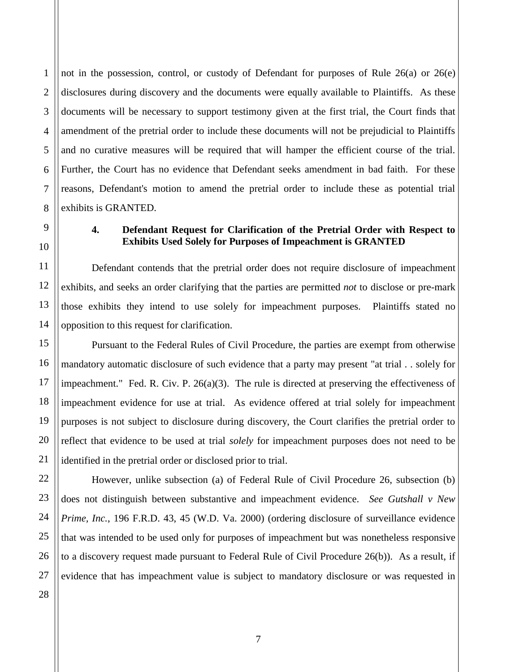2 3 4 not in the possession, control, or custody of Defendant for purposes of Rule 26(a) or 26(e) disclosures during discovery and the documents were equally available to Plaintiffs. As these documents will be necessary to support testimony given at the first trial, the Court finds that amendment of the pretrial order to include these documents will not be prejudicial to Plaintiffs and no curative measures will be required that will hamper the efficient course of the trial. Further, the Court has no evidence that Defendant seeks amendment in bad faith. For these reasons, Defendant's motion to amend the pretrial order to include these as potential trial exhibits is GRANTED.

1

# **4. Defendant Request for Clarification of the Pretrial Order with Respect to Exhibits Used Solely for Purposes of Impeachment is GRANTED**

Defendant contends that the pretrial order does not require disclosure of impeachment exhibits, and seeks an order clarifying that the parties are permitted *not* to disclose or pre-mark those exhibits they intend to use solely for impeachment purposes. Plaintiffs stated no opposition to this request for clarification.

Pursuant to the Federal Rules of Civil Procedure, the parties are exempt from otherwise mandatory automatic disclosure of such evidence that a party may present "at trial . . solely for impeachment." Fed. R. Civ. P. 26(a)(3). The rule is directed at preserving the effectiveness of impeachment evidence for use at trial. As evidence offered at trial solely for impeachment purposes is not subject to disclosure during discovery, the Court clarifies the pretrial order to reflect that evidence to be used at trial *solely* for impeachment purposes does not need to be identified in the pretrial order or disclosed prior to trial.

However, unlike subsection (a) of Federal Rule of Civil Procedure 26, subsection (b) does not distinguish between substantive and impeachment evidence. *See Gutshall v New Prime, Inc.*, 196 F.R.D. 43, 45 (W.D. Va. 2000) (ordering disclosure of surveillance evidence that was intended to be used only for purposes of impeachment but was nonetheless responsive to a discovery request made pursuant to Federal Rule of Civil Procedure 26(b)). As a result, if evidence that has impeachment value is subject to mandatory disclosure or was requested in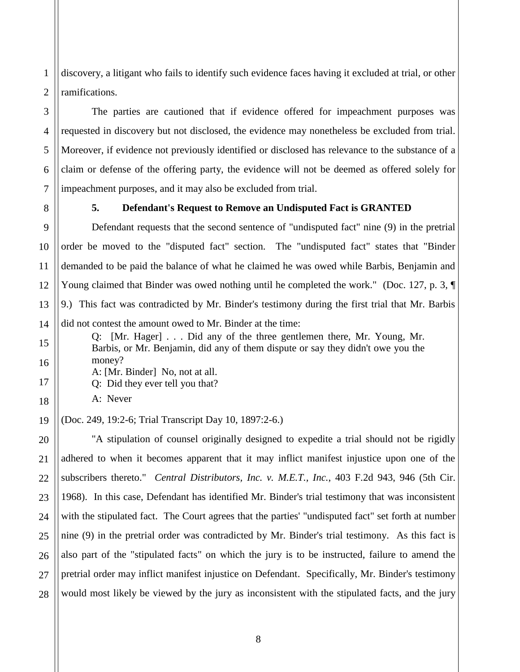1 2 discovery, a litigant who fails to identify such evidence faces having it excluded at trial, or other ramifications.

The parties are cautioned that if evidence offered for impeachment purposes was requested in discovery but not disclosed, the evidence may nonetheless be excluded from trial. Moreover, if evidence not previously identified or disclosed has relevance to the substance of a claim or defense of the offering party, the evidence will not be deemed as offered solely for impeachment purposes, and it may also be excluded from trial.

8 9

3

4

#### **5. Defendant's Request to Remove an Undisputed Fact is GRANTED**

Defendant requests that the second sentence of "undisputed fact" nine (9) in the pretrial order be moved to the "disputed fact" section. The "undisputed fact" states that "Binder demanded to be paid the balance of what he claimed he was owed while Barbis, Benjamin and Young claimed that Binder was owed nothing until he completed the work." (Doc. 127, p. 3, ¶ 9.) This fact was contradicted by Mr. Binder's testimony during the first trial that Mr. Barbis did not contest the amount owed to Mr. Binder at the time:

Q: [Mr. Hager] . . . Did any of the three gentlemen there, Mr. Young, Mr. Barbis, or Mr. Benjamin, did any of them dispute or say they didn't owe you the money?

A: [Mr. Binder] No, not at all.

Q: Did they ever tell you that?

A: Never

(Doc. 249, 19:2-6; Trial Transcript Day 10, 1897:2-6.)

"A stipulation of counsel originally designed to expedite a trial should not be rigidly adhered to when it becomes apparent that it may inflict manifest injustice upon one of the subscribers thereto." *Central Distributors, Inc. v. M.E.T., Inc.*, 403 F.2d 943, 946 (5th Cir. 1968). In this case, Defendant has identified Mr. Binder's trial testimony that was inconsistent with the stipulated fact. The Court agrees that the parties' "undisputed fact" set forth at number nine (9) in the pretrial order was contradicted by Mr. Binder's trial testimony. As this fact is also part of the "stipulated facts" on which the jury is to be instructed, failure to amend the pretrial order may inflict manifest injustice on Defendant. Specifically, Mr. Binder's testimony would most likely be viewed by the jury as inconsistent with the stipulated facts, and the jury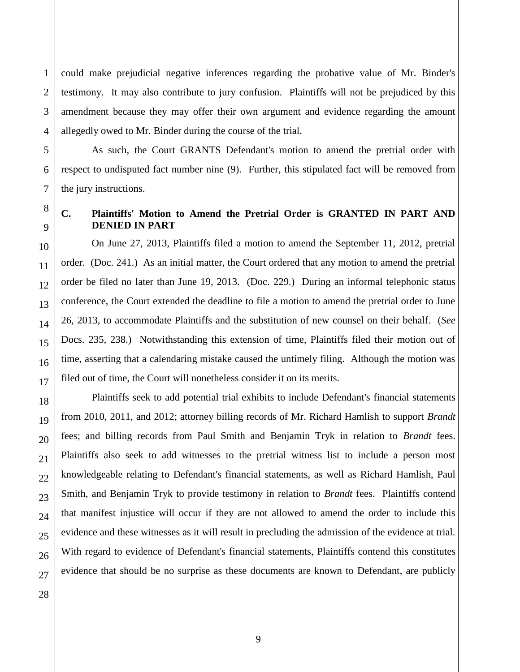1 could make prejudicial negative inferences regarding the probative value of Mr. Binder's testimony. It may also contribute to jury confusion. Plaintiffs will not be prejudiced by this amendment because they may offer their own argument and evidence regarding the amount allegedly owed to Mr. Binder during the course of the trial.

As such, the Court GRANTS Defendant's motion to amend the pretrial order with respect to undisputed fact number nine (9). Further, this stipulated fact will be removed from the jury instructions.

# **C. Plaintiffs' Motion to Amend the Pretrial Order is GRANTED IN PART AND DENIED IN PART**

On June 27, 2013, Plaintiffs filed a motion to amend the September 11, 2012, pretrial order. (Doc. 241.) As an initial matter, the Court ordered that any motion to amend the pretrial order be filed no later than June 19, 2013. (Doc. 229.) During an informal telephonic status conference, the Court extended the deadline to file a motion to amend the pretrial order to June 26, 2013, to accommodate Plaintiffs and the substitution of new counsel on their behalf. (*See* Docs. 235, 238.) Notwithstanding this extension of time, Plaintiffs filed their motion out of time, asserting that a calendaring mistake caused the untimely filing. Although the motion was filed out of time, the Court will nonetheless consider it on its merits.

Plaintiffs seek to add potential trial exhibits to include Defendant's financial statements from 2010, 2011, and 2012; attorney billing records of Mr. Richard Hamlish to support *Brandt* fees; and billing records from Paul Smith and Benjamin Tryk in relation to *Brandt* fees. Plaintiffs also seek to add witnesses to the pretrial witness list to include a person most knowledgeable relating to Defendant's financial statements, as well as Richard Hamlish, Paul Smith, and Benjamin Tryk to provide testimony in relation to *Brandt* fees. Plaintiffs contend that manifest injustice will occur if they are not allowed to amend the order to include this evidence and these witnesses as it will result in precluding the admission of the evidence at trial. With regard to evidence of Defendant's financial statements, Plaintiffs contend this constitutes evidence that should be no surprise as these documents are known to Defendant, are publicly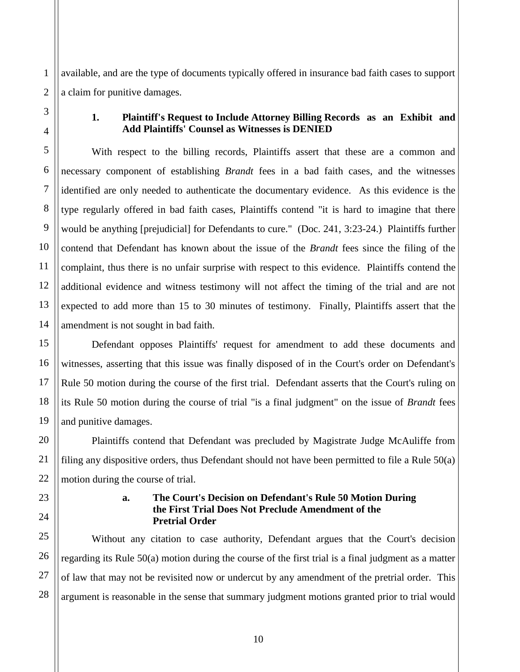1 available, and are the type of documents typically offered in insurance bad faith cases to support a claim for punitive damages.

### **1. Plaintiff's Request to Include Attorney Billing Records as an Exhibit and Add Plaintiffs' Counsel as Witnesses is DENIED**

With respect to the billing records, Plaintiffs assert that these are a common and necessary component of establishing *Brandt* fees in a bad faith cases, and the witnesses identified are only needed to authenticate the documentary evidence. As this evidence is the type regularly offered in bad faith cases, Plaintiffs contend "it is hard to imagine that there would be anything [prejudicial] for Defendants to cure." (Doc. 241, 3:23-24.) Plaintiffs further contend that Defendant has known about the issue of the *Brandt* fees since the filing of the complaint, thus there is no unfair surprise with respect to this evidence. Plaintiffs contend the additional evidence and witness testimony will not affect the timing of the trial and are not expected to add more than 15 to 30 minutes of testimony. Finally, Plaintiffs assert that the amendment is not sought in bad faith.

Defendant opposes Plaintiffs' request for amendment to add these documents and witnesses, asserting that this issue was finally disposed of in the Court's order on Defendant's Rule 50 motion during the course of the first trial. Defendant asserts that the Court's ruling on its Rule 50 motion during the course of trial "is a final judgment" on the issue of *Brandt* fees and punitive damages.

Plaintiffs contend that Defendant was precluded by Magistrate Judge McAuliffe from filing any dispositive orders, thus Defendant should not have been permitted to file a Rule 50(a) motion during the course of trial.

# **a. The Court's Decision on Defendant's Rule 50 Motion During the First Trial Does Not Preclude Amendment of the Pretrial Order**

Without any citation to case authority, Defendant argues that the Court's decision regarding its Rule 50(a) motion during the course of the first trial is a final judgment as a matter of law that may not be revisited now or undercut by any amendment of the pretrial order. This argument is reasonable in the sense that summary judgment motions granted prior to trial would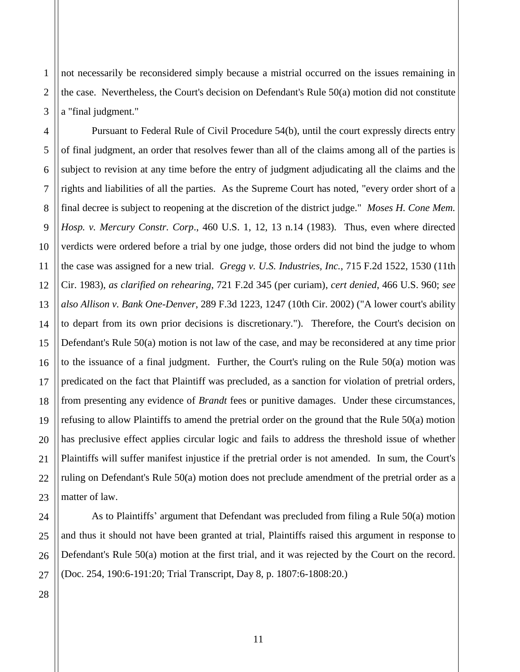not necessarily be reconsidered simply because a mistrial occurred on the issues remaining in the case. Nevertheless, the Court's decision on Defendant's Rule 50(a) motion did not constitute a "final judgment."

4 5 6 7 8 9 10 11 12 13 14 15 16 17 18 19 20 21 22 23 Pursuant to Federal Rule of Civil Procedure 54(b), until the court expressly directs entry of final judgment, an order that resolves fewer than all of the claims among all of the parties is subject to revision at any time before the entry of judgment adjudicating all the claims and the rights and liabilities of all the parties. As the Supreme Court has noted, "every order short of a final decree is subject to reopening at the discretion of the district judge." *Moses H. Cone Mem. Hosp. v. Mercury Constr. Corp*., 460 U.S. 1, 12, 13 n.14 (1983). Thus, even where directed verdicts were ordered before a trial by one judge, those orders did not bind the judge to whom the case was assigned for a new trial. *Gregg v. U.S. Industries, Inc.*, 715 F.2d 1522, 1530 (11th Cir. 1983), *as clarified on rehearing*, 721 F.2d 345 (per curiam), *cert denied*, 466 U.S. 960; *see also Allison v. Bank One-Denver*, 289 F.3d 1223, 1247 (10th Cir. 2002) ("A lower court's ability to depart from its own prior decisions is discretionary."). Therefore, the Court's decision on Defendant's Rule 50(a) motion is not law of the case, and may be reconsidered at any time prior to the issuance of a final judgment. Further, the Court's ruling on the Rule 50(a) motion was predicated on the fact that Plaintiff was precluded, as a sanction for violation of pretrial orders, from presenting any evidence of *Brandt* fees or punitive damages. Under these circumstances, refusing to allow Plaintiffs to amend the pretrial order on the ground that the Rule 50(a) motion has preclusive effect applies circular logic and fails to address the threshold issue of whether Plaintiffs will suffer manifest injustice if the pretrial order is not amended. In sum, the Court's ruling on Defendant's Rule 50(a) motion does not preclude amendment of the pretrial order as a matter of law.

As to Plaintiffs' argument that Defendant was precluded from filing a Rule 50(a) motion and thus it should not have been granted at trial, Plaintiffs raised this argument in response to Defendant's Rule 50(a) motion at the first trial, and it was rejected by the Court on the record. (Doc. 254, 190:6-191:20; Trial Transcript, Day 8, p. 1807:6-1808:20.)

28

24

25

26

27

1

2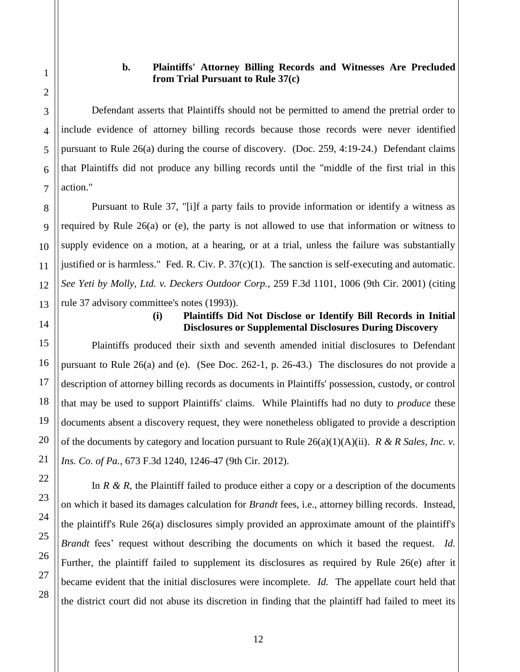# **b. Plaintiffs' Attorney Billing Records and Witnesses Are Precluded from Trial Pursuant to Rule 37(c)**

Defendant asserts that Plaintiffs should not be permitted to amend the pretrial order to include evidence of attorney billing records because those records were never identified pursuant to Rule 26(a) during the course of discovery. (Doc. 259, 4:19-24.) Defendant claims that Plaintiffs did not produce any billing records until the "middle of the first trial in this action."

Pursuant to Rule 37, "[i]f a party fails to provide information or identify a witness as required by Rule 26(a) or (e), the party is not allowed to use that information or witness to supply evidence on a motion, at a hearing, or at a trial, unless the failure was substantially justified or is harmless." Fed. R. Civ. P. 37(c)(1). The sanction is self-executing and automatic. *See Yeti by Molly, Ltd. v. Deckers Outdoor Corp.*, 259 F.3d 1101, 1006 (9th Cir. 2001) (citing rule 37 advisory committee's notes (1993)).

### **(i) Plaintiffs Did Not Disclose or Identify Bill Records in Initial Disclosures or Supplemental Disclosures During Discovery**

Plaintiffs produced their sixth and seventh amended initial disclosures to Defendant pursuant to Rule 26(a) and (e). (See Doc. 262-1, p. 26-43.) The disclosures do not provide a description of attorney billing records as documents in Plaintiffs' possession, custody, or control that may be used to support Plaintiffs' claims. While Plaintiffs had no duty to *produce* these documents absent a discovery request, they were nonetheless obligated to provide a description of the documents by category and location pursuant to Rule 26(a)(1)(A)(ii). *R & R Sales, Inc. v. Ins. Co. of Pa.*, 673 F.3d 1240, 1246-47 (9th Cir. 2012).

In  $R \& R$ , the Plaintiff failed to produce either a copy or a description of the documents on which it based its damages calculation for *Brandt* fees, i.e., attorney billing records. Instead, the plaintiff's Rule 26(a) disclosures simply provided an approximate amount of the plaintiff's *Brandt* fees' request without describing the documents on which it based the request. *Id.* Further, the plaintiff failed to supplement its disclosures as required by Rule 26(e) after it became evident that the initial disclosures were incomplete. *Id.* The appellate court held that the district court did not abuse its discretion in finding that the plaintiff had failed to meet its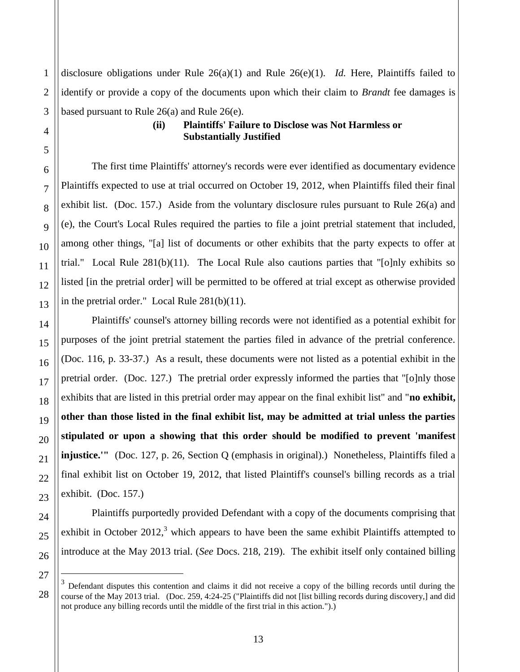disclosure obligations under Rule 26(a)(1) and Rule 26(e)(1). *Id.* Here, Plaintiffs failed to identify or provide a copy of the documents upon which their claim to *Brandt* fee damages is based pursuant to Rule 26(a) and Rule 26(e).

# **(ii) Plaintiffs' Failure to Disclose was Not Harmless or Substantially Justified**

The first time Plaintiffs' attorney's records were ever identified as documentary evidence Plaintiffs expected to use at trial occurred on October 19, 2012, when Plaintiffs filed their final exhibit list. (Doc. 157.) Aside from the voluntary disclosure rules pursuant to Rule 26(a) and (e), the Court's Local Rules required the parties to file a joint pretrial statement that included, among other things, "[a] list of documents or other exhibits that the party expects to offer at trial." Local Rule 281(b)(11). The Local Rule also cautions parties that "[o]nly exhibits so listed [in the pretrial order] will be permitted to be offered at trial except as otherwise provided in the pretrial order." Local Rule 281(b)(11).

Plaintiffs' counsel's attorney billing records were not identified as a potential exhibit for purposes of the joint pretrial statement the parties filed in advance of the pretrial conference. (Doc. 116, p. 33-37.) As a result, these documents were not listed as a potential exhibit in the pretrial order. (Doc. 127.) The pretrial order expressly informed the parties that "[o]nly those exhibits that are listed in this pretrial order may appear on the final exhibit list" and "**no exhibit, other than those listed in the final exhibit list, may be admitted at trial unless the parties stipulated or upon a showing that this order should be modified to prevent 'manifest injustice.'"** (Doc. 127, p. 26, Section Q (emphasis in original).) Nonetheless, Plaintiffs filed a final exhibit list on October 19, 2012, that listed Plaintiff's counsel's billing records as a trial exhibit. (Doc. 157.)

Plaintiffs purportedly provided Defendant with a copy of the documents comprising that exhibit in October 2012, $3$  which appears to have been the same exhibit Plaintiffs attempted to introduce at the May 2013 trial. (*See* Docs. 218, 219). The exhibit itself only contained billing

 $\overline{a}$ 

<sup>3</sup> Defendant disputes this contention and claims it did not receive a copy of the billing records until during the course of the May 2013 trial. (Doc. 259, 4:24-25 ("Plaintiffs did not [list billing records during discovery,] and did not produce any billing records until the middle of the first trial in this action.").)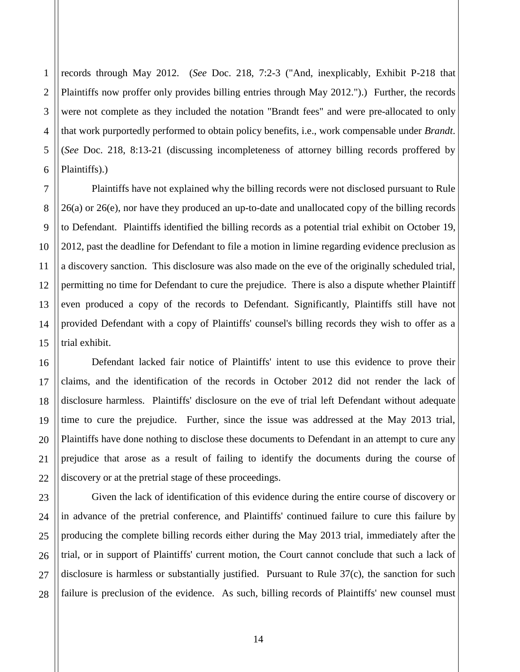1 records through May 2012. (*See* Doc. 218, 7:2-3 ("And, inexplicably, Exhibit P-218 that Plaintiffs now proffer only provides billing entries through May 2012.").) Further, the records were not complete as they included the notation "Brandt fees" and were pre-allocated to only that work purportedly performed to obtain policy benefits, i.e., work compensable under *Brandt*. (*See* Doc. 218, 8:13-21 (discussing incompleteness of attorney billing records proffered by Plaintiffs).)

Plaintiffs have not explained why the billing records were not disclosed pursuant to Rule 26(a) or 26(e), nor have they produced an up-to-date and unallocated copy of the billing records to Defendant. Plaintiffs identified the billing records as a potential trial exhibit on October 19, 2012, past the deadline for Defendant to file a motion in limine regarding evidence preclusion as a discovery sanction. This disclosure was also made on the eve of the originally scheduled trial, permitting no time for Defendant to cure the prejudice. There is also a dispute whether Plaintiff even produced a copy of the records to Defendant. Significantly, Plaintiffs still have not provided Defendant with a copy of Plaintiffs' counsel's billing records they wish to offer as a trial exhibit.

Defendant lacked fair notice of Plaintiffs' intent to use this evidence to prove their claims, and the identification of the records in October 2012 did not render the lack of disclosure harmless. Plaintiffs' disclosure on the eve of trial left Defendant without adequate time to cure the prejudice. Further, since the issue was addressed at the May 2013 trial, Plaintiffs have done nothing to disclose these documents to Defendant in an attempt to cure any prejudice that arose as a result of failing to identify the documents during the course of discovery or at the pretrial stage of these proceedings.

Given the lack of identification of this evidence during the entire course of discovery or in advance of the pretrial conference, and Plaintiffs' continued failure to cure this failure by producing the complete billing records either during the May 2013 trial, immediately after the trial, or in support of Plaintiffs' current motion, the Court cannot conclude that such a lack of disclosure is harmless or substantially justified. Pursuant to Rule 37(c), the sanction for such failure is preclusion of the evidence. As such, billing records of Plaintiffs' new counsel must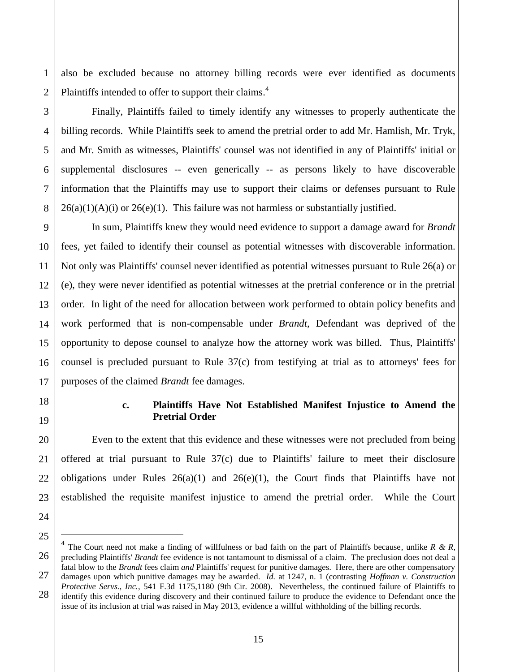also be excluded because no attorney billing records were ever identified as documents Plaintiffs intended to offer to support their claims.<sup>4</sup>

24

25

 $\overline{a}$ 

1

Finally, Plaintiffs failed to timely identify any witnesses to properly authenticate the billing records. While Plaintiffs seek to amend the pretrial order to add Mr. Hamlish, Mr. Tryk, and Mr. Smith as witnesses, Plaintiffs' counsel was not identified in any of Plaintiffs' initial or supplemental disclosures -- even generically -- as persons likely to have discoverable information that the Plaintiffs may use to support their claims or defenses pursuant to Rule  $26(a)(1)(A)(i)$  or  $26(e)(1)$ . This failure was not harmless or substantially justified.

In sum, Plaintiffs knew they would need evidence to support a damage award for *Brandt* fees, yet failed to identify their counsel as potential witnesses with discoverable information. Not only was Plaintiffs' counsel never identified as potential witnesses pursuant to Rule 26(a) or (e), they were never identified as potential witnesses at the pretrial conference or in the pretrial order. In light of the need for allocation between work performed to obtain policy benefits and work performed that is non-compensable under *Brandt*, Defendant was deprived of the opportunity to depose counsel to analyze how the attorney work was billed. Thus, Plaintiffs' counsel is precluded pursuant to Rule 37(c) from testifying at trial as to attorneys' fees for purposes of the claimed *Brandt* fee damages.

# **c. Plaintiffs Have Not Established Manifest Injustice to Amend the Pretrial Order**

Even to the extent that this evidence and these witnesses were not precluded from being offered at trial pursuant to Rule 37(c) due to Plaintiffs' failure to meet their disclosure obligations under Rules  $26(a)(1)$  and  $26(e)(1)$ , the Court finds that Plaintiffs have not established the requisite manifest injustice to amend the pretrial order. While the Court

<sup>26</sup> 27 28 4 The Court need not make a finding of willfulness or bad faith on the part of Plaintiffs because, unlike *R & R*, precluding Plaintiffs' *Brandt* fee evidence is not tantamount to dismissal of a claim. The preclusion does not deal a fatal blow to the *Brandt* fees claim *and* Plaintiffs' request for punitive damages. Here, there are other compensatory damages upon which punitive damages may be awarded. *Id.* at 1247, n. 1 (contrasting *Hoffman v. Construction Protective Servs., Inc.*, 541 F.3d 1175,1180 (9th Cir. 2008). Nevertheless, the continued failure of Plaintiffs to identify this evidence during discovery and their continued failure to produce the evidence to Defendant once the

issue of its inclusion at trial was raised in May 2013, evidence a willful withholding of the billing records.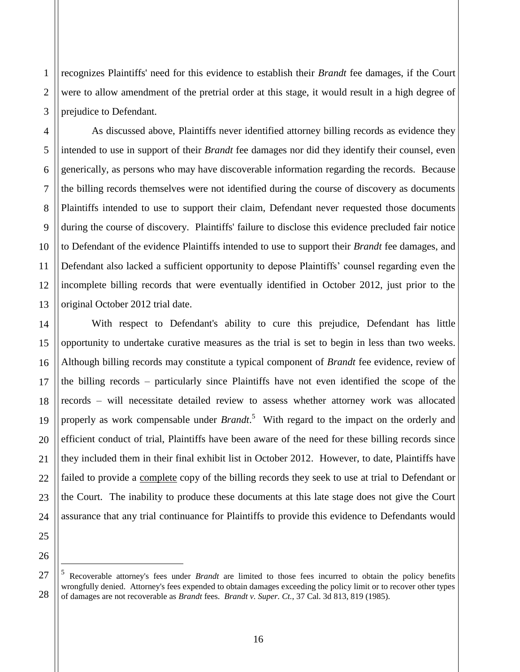recognizes Plaintiffs' need for this evidence to establish their *Brandt* fee damages, if the Court were to allow amendment of the pretrial order at this stage, it would result in a high degree of prejudice to Defendant.

As discussed above, Plaintiffs never identified attorney billing records as evidence they intended to use in support of their *Brandt* fee damages nor did they identify their counsel, even generically, as persons who may have discoverable information regarding the records. Because the billing records themselves were not identified during the course of discovery as documents Plaintiffs intended to use to support their claim, Defendant never requested those documents during the course of discovery. Plaintiffs' failure to disclose this evidence precluded fair notice to Defendant of the evidence Plaintiffs intended to use to support their *Brandt* fee damages, and Defendant also lacked a sufficient opportunity to depose Plaintiffs' counsel regarding even the incomplete billing records that were eventually identified in October 2012, just prior to the original October 2012 trial date.

With respect to Defendant's ability to cure this prejudice, Defendant has little opportunity to undertake curative measures as the trial is set to begin in less than two weeks. Although billing records may constitute a typical component of *Brandt* fee evidence, review of the billing records – particularly since Plaintiffs have not even identified the scope of the records – will necessitate detailed review to assess whether attorney work was allocated properly as work compensable under *Brandt*. 5 With regard to the impact on the orderly and efficient conduct of trial, Plaintiffs have been aware of the need for these billing records since they included them in their final exhibit list in October 2012. However, to date, Plaintiffs have failed to provide a complete copy of the billing records they seek to use at trial to Defendant or the Court. The inability to produce these documents at this late stage does not give the Court assurance that any trial continuance for Plaintiffs to provide this evidence to Defendants would

5 Recoverable attorney's fees under *Brandt* are limited to those fees incurred to obtain the policy benefits wrongfully denied. Attorney's fees expended to obtain damages exceeding the policy limit or to recover other types of damages are not recoverable as *Brandt* fees. *Brandt v. Super. Ct.*, 37 Cal. 3d 813, 819 (1985).

 $\overline{a}$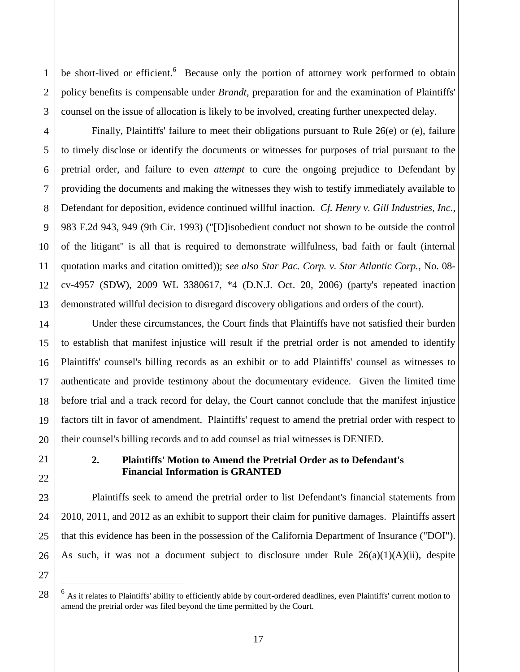be short-lived or efficient.<sup>6</sup> Because only the portion of attorney work performed to obtain policy benefits is compensable under *Brandt*, preparation for and the examination of Plaintiffs' counsel on the issue of allocation is likely to be involved, creating further unexpected delay.

Finally, Plaintiffs' failure to meet their obligations pursuant to Rule 26(e) or (e), failure to timely disclose or identify the documents or witnesses for purposes of trial pursuant to the pretrial order, and failure to even *attempt* to cure the ongoing prejudice to Defendant by providing the documents and making the witnesses they wish to testify immediately available to Defendant for deposition, evidence continued willful inaction. *Cf. Henry v. Gill Industries, Inc*., 983 F.2d 943, 949 (9th Cir. 1993) ("[D]isobedient conduct not shown to be outside the control of the litigant" is all that is required to demonstrate willfulness, bad faith or fault (internal quotation marks and citation omitted)); *see also Star Pac. Corp. v. Star Atlantic Corp.*, No. 08 cv-4957 (SDW), 2009 WL 3380617, \*4 (D.N.J. Oct. 20, 2006) (party's repeated inaction demonstrated willful decision to disregard discovery obligations and orders of the court).

Under these circumstances, the Court finds that Plaintiffs have not satisfied their burden to establish that manifest injustice will result if the pretrial order is not amended to identify Plaintiffs' counsel's billing records as an exhibit or to add Plaintiffs' counsel as witnesses to authenticate and provide testimony about the documentary evidence. Given the limited time before trial and a track record for delay, the Court cannot conclude that the manifest injustice factors tilt in favor of amendment. Plaintiffs' request to amend the pretrial order with respect to their counsel's billing records and to add counsel as trial witnesses is DENIED.

# **2. Plaintiffs' Motion to Amend the Pretrial Order as to Defendant's Financial Information is GRANTED**

Plaintiffs seek to amend the pretrial order to list Defendant's financial statements from 2010, 2011, and 2012 as an exhibit to support their claim for punitive damages. Plaintiffs assert that this evidence has been in the possession of the California Department of Insurance ("DOI"). As such, it was not a document subject to disclosure under Rule  $26(a)(1)(A)(ii)$ , despite

 $\overline{a}$ 

<sup>&</sup>lt;sup>6</sup> As it relates to Plaintiffs' ability to efficiently abide by court-ordered deadlines, even Plaintiffs' current motion to amend the pretrial order was filed beyond the time permitted by the Court.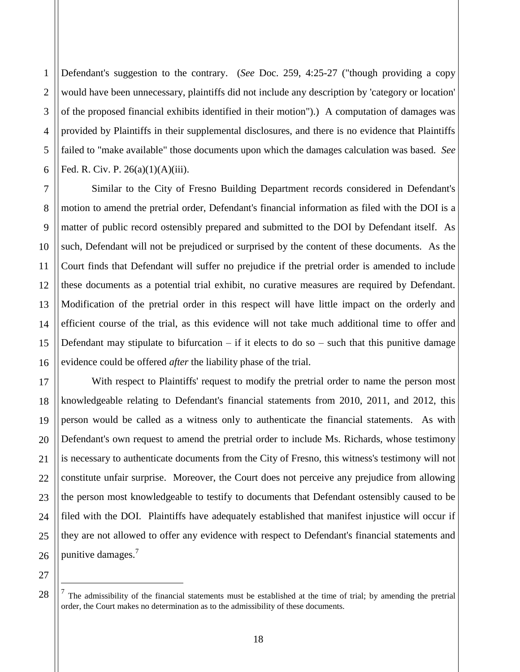2 3 4 5 6 Defendant's suggestion to the contrary. (*See* Doc. 259, 4:25-27 ("though providing a copy would have been unnecessary, plaintiffs did not include any description by 'category or location' of the proposed financial exhibits identified in their motion").) A computation of damages was provided by Plaintiffs in their supplemental disclosures, and there is no evidence that Plaintiffs failed to "make available" those documents upon which the damages calculation was based. *See* Fed. R. Civ. P. 26(a)(1)(A)(iii).

Similar to the City of Fresno Building Department records considered in Defendant's motion to amend the pretrial order, Defendant's financial information as filed with the DOI is a matter of public record ostensibly prepared and submitted to the DOI by Defendant itself. As such, Defendant will not be prejudiced or surprised by the content of these documents. As the Court finds that Defendant will suffer no prejudice if the pretrial order is amended to include these documents as a potential trial exhibit, no curative measures are required by Defendant. Modification of the pretrial order in this respect will have little impact on the orderly and efficient course of the trial, as this evidence will not take much additional time to offer and Defendant may stipulate to bifurcation – if it elects to do so – such that this punitive damage evidence could be offered *after* the liability phase of the trial.

With respect to Plaintiffs' request to modify the pretrial order to name the person most knowledgeable relating to Defendant's financial statements from 2010, 2011, and 2012, this person would be called as a witness only to authenticate the financial statements. As with Defendant's own request to amend the pretrial order to include Ms. Richards, whose testimony is necessary to authenticate documents from the City of Fresno, this witness's testimony will not constitute unfair surprise. Moreover, the Court does not perceive any prejudice from allowing the person most knowledgeable to testify to documents that Defendant ostensibly caused to be filed with the DOI. Plaintiffs have adequately established that manifest injustice will occur if they are not allowed to offer any evidence with respect to Defendant's financial statements and punitive damages.<sup>7</sup>

27 28

 $\overline{a}$ 

1

7

8

9

10

11

12

13

14

15

16

17

18

19

20

21

22

23

24

25

<sup>7</sup> The admissibility of the financial statements must be established at the time of trial; by amending the pretrial order, the Court makes no determination as to the admissibility of these documents.